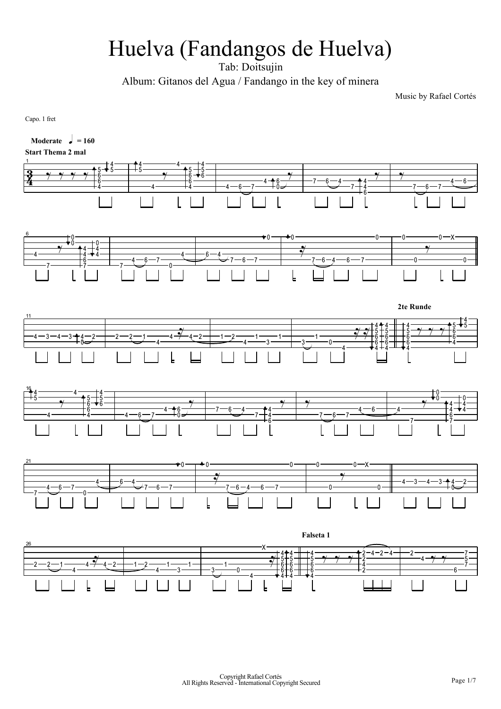## Huelva (Fandangos de Huelva)

Tab: Doitsujin

Album: Gitanos del Agua / Fandango in the key of minera

Music by Rafael Cortés

Capo. 1 fret

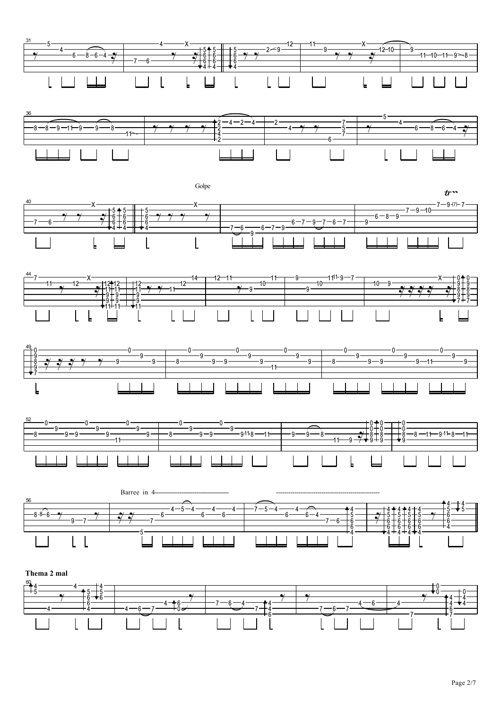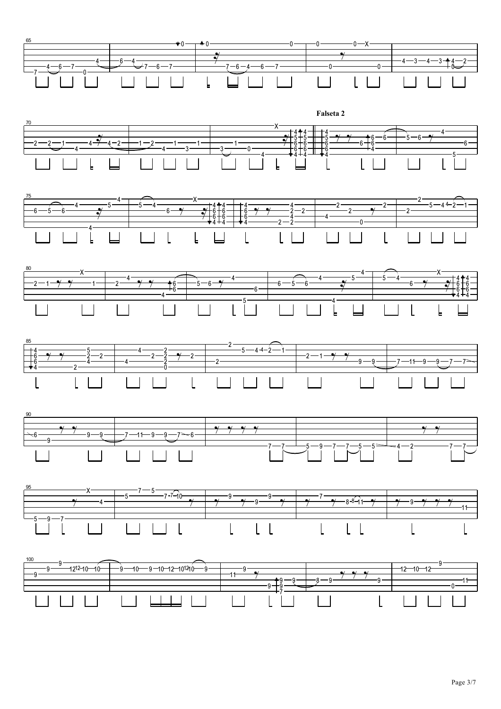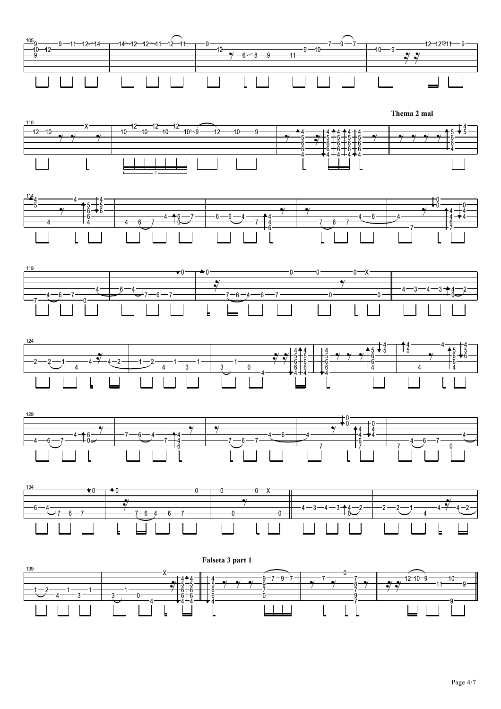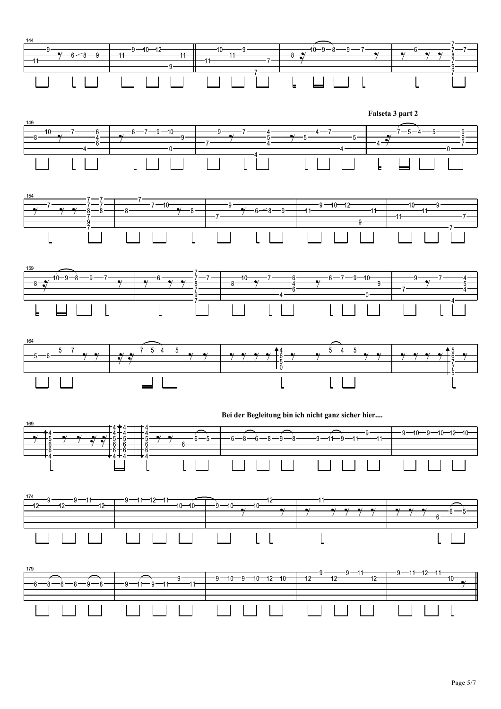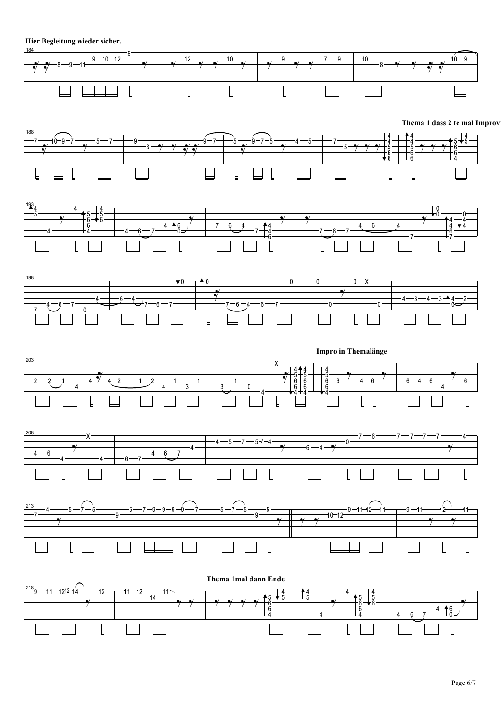**Hier Begleitung wieder sicher.**



**Thema 1 dass 2 te mal Improv**